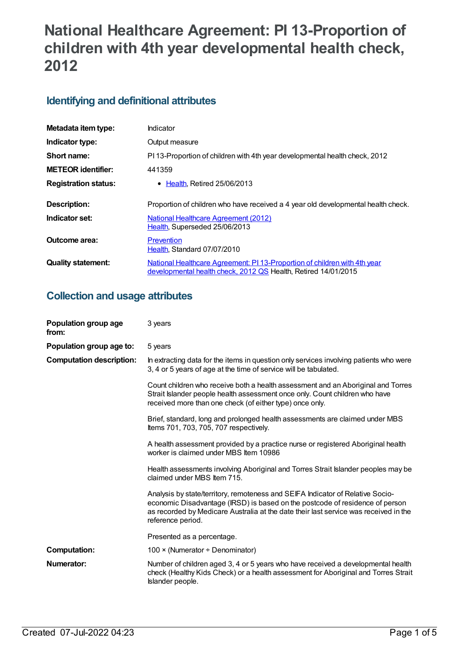# **National Healthcare Agreement: PI 13-Proportion of children with 4th year developmental health check, 2012**

## **Identifying and definitional attributes**

| Metadata item type:         | Indicator                                                                                                                                   |
|-----------------------------|---------------------------------------------------------------------------------------------------------------------------------------------|
| Indicator type:             | Output measure                                                                                                                              |
| Short name:                 | PI 13-Proportion of children with 4th year developmental health check, 2012                                                                 |
| <b>METEOR identifier:</b>   | 441359                                                                                                                                      |
| <b>Registration status:</b> | • Health, Retired 25/06/2013                                                                                                                |
| Description:                | Proportion of children who have received a 4 year old developmental health check.                                                           |
| Indicator set:              | National Healthcare Agreement (2012)<br>Health, Superseded 25/06/2013                                                                       |
| Outcome area:               | <b>Prevention</b><br>Health, Standard 07/07/2010                                                                                            |
| <b>Quality statement:</b>   | National Healthcare Agreement: PI 13-Proportion of children with 4th year<br>developmental health check, 2012 QS Health, Retired 14/01/2015 |

## **Collection and usage attributes**

| Population group age<br>from:   | 3 years                                                                                                                                                                                                                                                                     |
|---------------------------------|-----------------------------------------------------------------------------------------------------------------------------------------------------------------------------------------------------------------------------------------------------------------------------|
| Population group age to:        | 5 years                                                                                                                                                                                                                                                                     |
| <b>Computation description:</b> | In extracting data for the items in question only services involving patients who were<br>3, 4 or 5 years of age at the time of service will be tabulated.                                                                                                                  |
|                                 | Count children who receive both a health assessment and an Aboriginal and Torres<br>Strait Islander people health assessment once only. Count children who have<br>received more than one check (of either type) once only.                                                 |
|                                 | Brief, standard, long and prolonged health assessments are claimed under MBS<br>Items 701, 703, 705, 707 respectively.                                                                                                                                                      |
|                                 | A health assessment provided by a practice nurse or registered Aboriginal health<br>worker is claimed under MBS Item 10986                                                                                                                                                  |
|                                 | Health assessments involving Aboriginal and Torres Strait Islander peoples may be<br>claimed under MBS Item 715.                                                                                                                                                            |
|                                 | Analysis by state/territory, remoteness and SEIFA Indicator of Relative Socio-<br>economic Disadvantage (IRSD) is based on the postcode of residence of person<br>as recorded by Medicare Australia at the date their last service was received in the<br>reference period. |
|                                 | Presented as a percentage.                                                                                                                                                                                                                                                  |
| <b>Computation:</b>             | 100 $\times$ (Numerator ÷ Denominator)                                                                                                                                                                                                                                      |
| Numerator:                      | Number of children aged 3, 4 or 5 years who have received a developmental health<br>check (Healthy Kids Check) or a health assessment for Aboriginal and Torres Strait<br>Islander people.                                                                                  |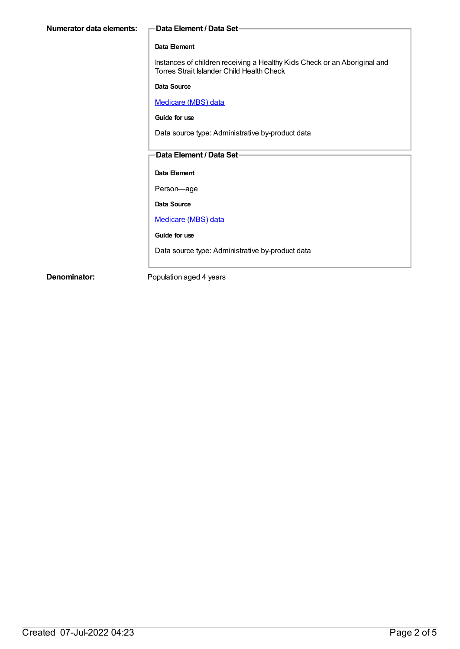#### **Data Element**

Instances of children receiving a Healthy Kids Check or an Aboriginal and Torres Strait Islander Child Health Check

**Data Source**

[Medicare](https://meteor.aihw.gov.au/content/394305) (MBS) data

**Guide for use**

Data source type: Administrative by-product data

### **Data Element / Data Set**

**Data Element**

Person—age

**Data Source**

#### [Medicare](https://meteor.aihw.gov.au/content/394305) (MBS) data

**Guide for use**

Data source type: Administrative by-product data

**Denominator:** Population aged 4 years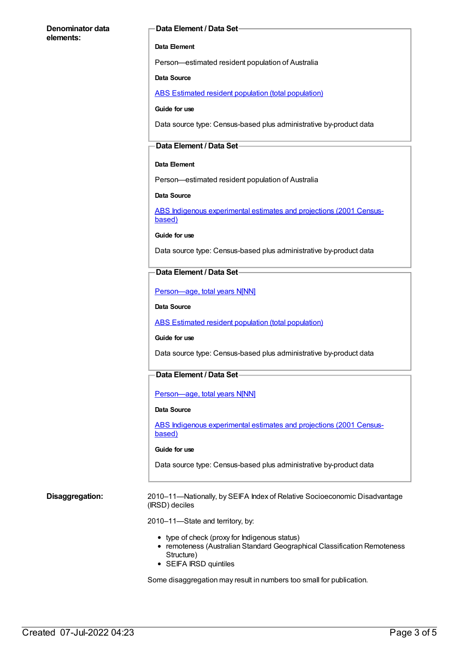#### **Denominator data elements:**

#### **Data Element / Data Set**

#### **Data Element**

Person—estimated resident population of Australia

#### **Data Source**

ABS Estimated resident population (total [population\)](https://meteor.aihw.gov.au/content/393625)

#### **Guide for use**

Data source type: Census-based plus administrative by-product data

#### **Data Element / Data Set**

#### **Data Element**

Person—estimated resident population of Australia

#### **Data Source**

ABS Indigenous [experimental](https://meteor.aihw.gov.au/content/394092) estimates and projections (2001 Censusbased)

#### **Guide for use**

Data source type: Census-based plus administrative by-product data

#### **Data Element / Data Set**

[Person—age,](https://meteor.aihw.gov.au/content/303794) total years N[NN]

#### **Data Source**

ABS Estimated resident population (total [population\)](https://meteor.aihw.gov.au/content/393625)

#### **Guide for use**

Data source type: Census-based plus administrative by-product data

### **Data Element / Data Set**

[Person—age,](https://meteor.aihw.gov.au/content/303794) total years N[NN]

#### **Data Source**

ABS Indigenous [experimental](https://meteor.aihw.gov.au/content/394092) estimates and projections (2001 Censusbased)

#### **Guide for use**

Data source type: Census-based plus administrative by-product data

**Disaggregation:** 2010–11—Nationally, by SEIFA Index of Relative Socioeconomic Disadvantage (IRSD) deciles

2010–11—State and territory, by:

- type of check (proxy for Indigenous status)
- remoteness (Australian Standard Geographical Classification Remoteness Structure)
- SEIFA IRSD quintiles

Some disaggregation may result in numbers too small for publication.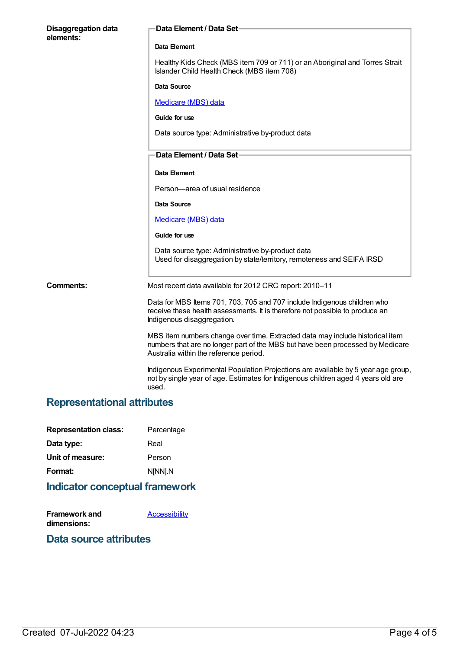| <b>Disaggregation data</b><br>elements: | Data Element / Data Set-                                                                                                                                                                                  |
|-----------------------------------------|-----------------------------------------------------------------------------------------------------------------------------------------------------------------------------------------------------------|
|                                         | Data Element                                                                                                                                                                                              |
|                                         | Healthy Kids Check (MBS item 709 or 711) or an Aboriginal and Torres Strait<br>Islander Child Health Check (MBS item 708)                                                                                 |
|                                         | Data Source                                                                                                                                                                                               |
|                                         | Medicare (MBS) data                                                                                                                                                                                       |
|                                         | Guide for use                                                                                                                                                                                             |
|                                         | Data source type: Administrative by-product data                                                                                                                                                          |
|                                         | Data Element / Data Set-                                                                                                                                                                                  |
|                                         | Data Element                                                                                                                                                                                              |
|                                         | Person-area of usual residence                                                                                                                                                                            |
|                                         | Data Source                                                                                                                                                                                               |
|                                         | Medicare (MBS) data                                                                                                                                                                                       |
|                                         | Guide for use                                                                                                                                                                                             |
|                                         | Data source type: Administrative by-product data<br>Used for disaggregation by state/territory, remoteness and SEIFA IRSD                                                                                 |
| <b>Comments:</b>                        | Most recent data available for 2012 CRC report: 2010-11                                                                                                                                                   |
|                                         | Data for MBS Items 701, 703, 705 and 707 include Indigenous children who<br>receive these health assessments. It is therefore not possible to produce an<br>Indigenous disaggregation.                    |
|                                         | MBS item numbers change over time. Extracted data may include historical item<br>numbers that are no longer part of the MBS but have been processed by Medicare<br>Australia within the reference period. |
|                                         | Indigenous Experimental Population Projections are available by 5 year age group,<br>not by single year of age. Estimates for Indigenous children aged 4 years old are<br>used.                           |

## **Representational attributes**

| <b>Representation class:</b> | Percentage |
|------------------------------|------------|
| Data type:                   | Real       |
| Unit of measure:             | Person     |
| Format:                      | N[NN].N    |
|                              |            |

## **Indicator conceptual framework**

| Framework and | <b>Accessibility</b> |
|---------------|----------------------|
| dimensions:   |                      |

## **Data source attributes**